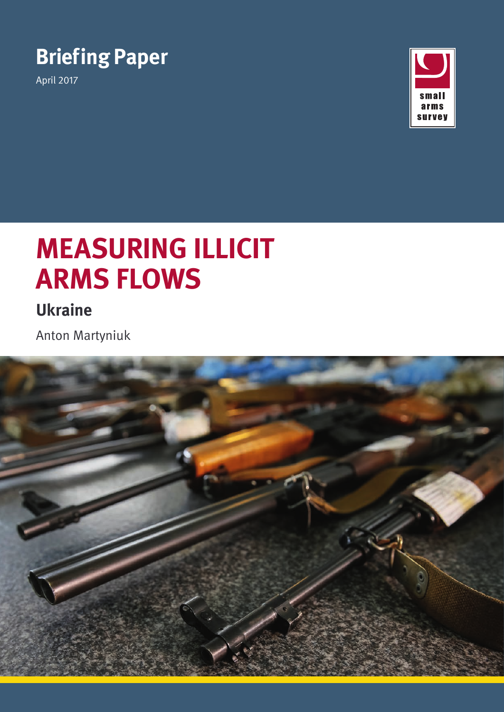

April 2017



# **MEASURING ILLICIT ARMS FLOWS**

**Ukraine**

Anton Martyniuk

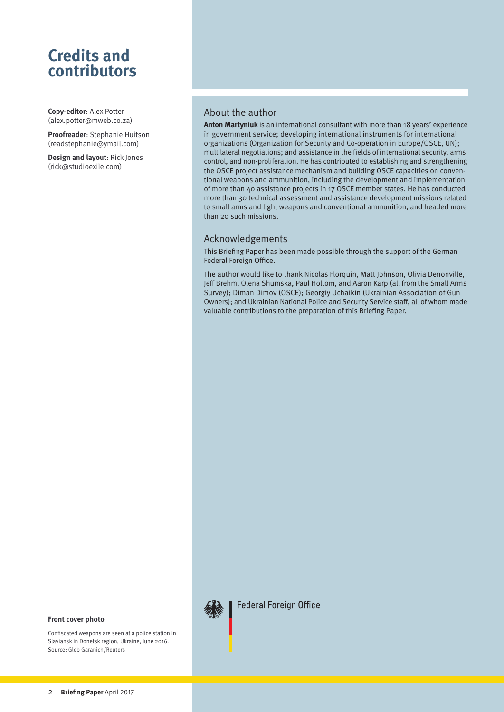# **Credits and contributors**

**Copy-editor**: Alex Potter ([alex.potter@mweb.co.za\)](mailto:alex.potter%40mweb.co.za?subject=Enquiry)

**Proofreader**: Stephanie Huitson ([readstephanie@ymail.com](mailto:readstephanie%40ymail.com?subject=Enquiry))

**Design and layout**: Rick Jones ([rick@studioexile.com](mailto:rick%40studioexile.com?subject=Enquiry))

#### About the author

**Anton Martyniuk** is an international consultant with more than 18 years' experience in government service; developing international instruments for international organizations (Organization for Security and Co-operation in Europe/OSCE, UN); multilateral negotiations; and assistance in the fields of international security, arms control, and non-proliferation. He has contributed to establishing and strengthening the OSCE project assistance mechanism and building OSCE capacities on conventional weapons and ammunition, including the development and implementation of more than 40 assistance projects in 17 OSCE member states. He has conducted more than 30 technical assessment and assistance development missions related to small arms and light weapons and conventional ammunition, and headed more than 20 such missions.

#### Acknowledgements

This Briefing Paper has been made possible through the support of the German Federal Foreign Office.

The author would like to thank Nicolas Florquin, Matt Johnson, Olivia Denonville, Jeff Brehm, Olena Shumska, Paul Holtom, and Aaron Karp (all from the Small Arms Survey); Diman Dimov (OSCE); Georgiy Uchaikin (Ukrainian Association of Gun Owners); and Ukrainian National Police and Security Service staff, all of whom made valuable contributions to the preparation of this Briefing Paper.



**Federal Foreign Office** 

#### **Front cover photo**

Confiscated weapons are seen at a police station in Slaviansk in Donetsk region, Ukraine, June 2016. Source: Gleb Garanich/Reuters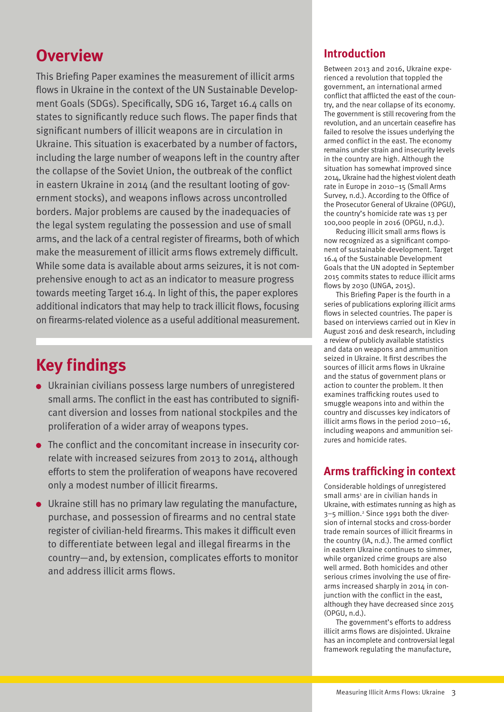# **Overview**

This Briefing Paper examines the measurement of illicit arms flows in Ukraine in the context of the UN Sustainable Development Goals (SDGs). Specifically, SDG 16, Target 16.4 calls on states to significantly reduce such flows. The paper finds that significant numbers of illicit weapons are in circulation in Ukraine. This situation is exacerbated by a number of factors, including the large number of weapons left in the country after the collapse of the Soviet Union, the outbreak of the conflict in eastern Ukraine in 2014 (and the resultant looting of government stocks), and weapons inflows across uncontrolled borders. Major problems are caused by the inadequacies of the legal system regulating the possession and use of small arms, and the lack of a central register of firearms, both of which make the measurement of illicit arms flows extremely difficult. While some data is available about arms seizures, it is not comprehensive enough to act as an indicator to measure progress towards meeting Target 16.4. In light of this, the paper explores additional indicators that may help to track illicit flows, focusing on firearms-related violence as a useful additional measurement.

# **Key findings**

- Ukrainian civilians possess large numbers of unregistered small arms. The conflict in the east has contributed to significant diversion and losses from national stockpiles and the proliferation of a wider array of weapons types.
- The conflict and the concomitant increase in insecurity correlate with increased seizures from 2013 to 2014, although efforts to stem the proliferation of weapons have recovered only a modest number of illicit firearms.
- Ukraine still has no primary law regulating the manufacture, purchase, and possession of firearms and no central state register of civilian-held firearms. This makes it difficult even to differentiate between legal and illegal firearms in the country—and, by extension, complicates efforts to monitor and address illicit arms flows.

# **Introduction**

Between 2013 and 2016, Ukraine experienced a revolution that toppled the government, an international armed conflict that afflicted the east of the country, and the near collapse of its economy. The government is still recovering from the revolution, and an uncertain ceasefire has failed to resolve the issues underlying the armed conflict in the east. The economy remains under strain and insecurity levels in the country are high. Although the situation has somewhat improved since 2014, Ukraine had the highest violent death rate in Europe in 2010–15 (Small Arms Survey, n.d.). According to the Office of the Prosecutor General of Ukraine (OPGU), the country's homicide rate was 13 per 100,000 people in 2016 (OPGU, n.d.).

Reducing illicit small arms flows is now recognized as a significant component of sustainable development. Target 16.4 of the Sustainable Development Goals that the UN adopted in September 2015 commits states to reduce illicit arms flows by 2030 (UNGA, 2015).

This Briefing Paper is the fourth in a series of publications exploring illicit arms flows in selected countries. The paper is based on interviews carried out in Kiev in August 2016 and desk research, including a review of publicly available statistics and data on weapons and ammunition seized in Ukraine. It first describes the sources of illicit arms flows in Ukraine and the status of government plans or action to counter the problem. It then examines trafficking routes used to smuggle weapons into and within the country and discusses key indicators of illicit arms flows in the period 2010–16, including weapons and ammunition seizures and homicide rates.

# **Arms trafficking in context**

Considerable holdings of unregistered small arms<sup>1</sup> are in civilian hands in Ukraine, with estimates running as high as 3-5 million.<sup>2</sup> Since 1991 both the diversion of internal stocks and cross-border trade remain sources of illicit firearms in the country (IA, n.d.). The armed conflict in eastern Ukraine continues to simmer, while organized crime groups are also well armed. Both homicides and other serious crimes involving the use of firearms increased sharply in 2014 in conjunction with the conflict in the east, although they have decreased since 2015 (OPGU, n.d.).

The government's efforts to address illicit arms flows are disjointed. Ukraine has an incomplete and controversial legal framework regulating the manufacture,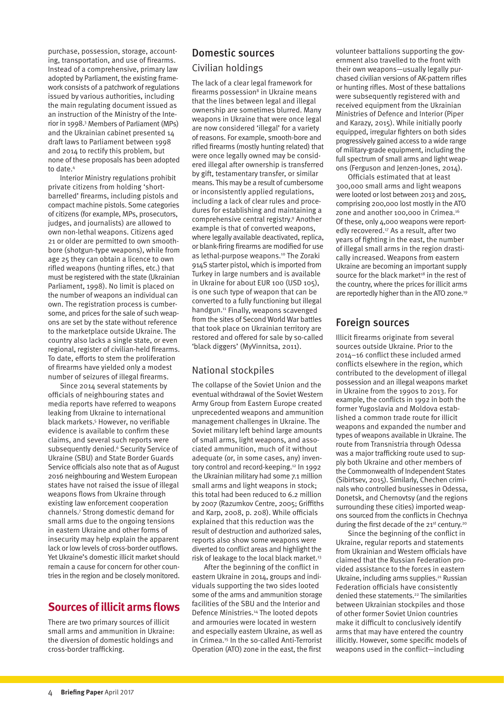purchase, possession, storage, accounting, transportation, and use of firearms. Instead of a comprehensive, primary law adopted by Parliament, the existing framework consists of a patchwork of regulations issued by various authorities, including the main regulating document issued as an instruction of the Ministry of the Interior in 1998.3 Members of Parliament (MPs) and the Ukrainian cabinet presented 14 draft laws to Parliament between 1998 and 2014 to rectify this problem, but none of these proposals has been adopted to date.4

Interior Ministry regulations prohibit private citizens from holding 'shortbarrelled' firearms, including pistols and compact machine pistols. Some categories of citizens (for example, MPs, prosecutors, judges, and journalists) are allowed to own non-lethal weapons. Citizens aged 21 or older are permitted to own smoothbore (shotgun-type weapons), while from age 25 they can obtain a licence to own rifled weapons (hunting rifles, etc.) that must be registered with the state (Ukrainian Parliament, 1998). No limit is placed on the number of weapons an individual can own. The registration process is cumbersome, and prices for the sale of such weapons are set by the state without reference to the marketplace outside Ukraine. The country also lacks a single state, or even regional, register of civilian-held firearms. To date, efforts to stem the proliferation of firearms have yielded only a modest number of seizures of illegal firearms.

Since 2014 several statements by officials of neighbouring states and media reports have referred to weapons leaking from Ukraine to international black markets.5 However, no verifiable evidence is available to confirm these claims, and several such reports were subsequently denied.<sup>6</sup> Security Service of Ukraine (SBU) and State Border Guards Service officials also note that as of August 2016 neighbouring and Western European states have not raised the issue of illegal weapons flows from Ukraine through existing law enforcement cooperation channels.7 Strong domestic demand for small arms due to the ongoing tensions in eastern Ukraine and other forms of insecurity may help explain the apparent lack or low levels of cross-border outflows. Yet Ukraine's domestic illicit market should remain a cause for concern for other countries in the region and be closely monitored.

### **Sources of illicit arms flows**

There are two primary sources of illicit small arms and ammunition in Ukraine: the diversion of domestic holdings and cross-border trafficking.

### Domestic sources Civilian holdings

The lack of a clear legal framework for firearms possession<sup>8</sup> in Ukraine means that the lines between legal and illegal ownership are sometimes blurred. Many weapons in Ukraine that were once legal are now considered 'illegal' for a variety of reasons. For example, smooth-bore and rifled firearms (mostly hunting related) that were once legally owned may be considered illegal after ownership is transferred by gift, testamentary transfer, or similar means. This may be a result of cumbersome or inconsistently applied regulations, including a lack of clear rules and procedures for establishing and maintaining a comprehensive central registry.9 Another example is that of converted weapons, where legally available deactivated, replica, or blank-firing firearms are modified for use as lethal-purpose weapons.10 The Zoraki 914S starter pistol, which is imported from Turkey in large numbers and is available in Ukraine for about EUR 100 (USD 105), is one such type of weapon that can be converted to a fully functioning but illegal handgun.<sup>11</sup> Finally, weapons scavenged from the sites of Second World War battles that took place on Ukrainian territory are restored and offered for sale by so-called 'black diggers' (MyVinnitsa, 2011).

#### National stockpiles

The collapse of the Soviet Union and the eventual withdrawal of the Soviet Western Army Group from Eastern Europe created unprecedented weapons and ammunition management challenges in Ukraine. The Soviet military left behind large amounts of small arms, light weapons, and associated ammunition, much of it without adequate (or, in some cases, any) inventory control and record-keeping.<sup>12</sup> In 1992 the Ukrainian military had some 7.1 million small arms and light weapons in stock; this total had been reduced to 6.2 million by 2007 (Razumkov Centre, 2005; Griffiths and Karp, 2008, p. 208). While officials explained that this reduction was the result of destruction and authorized sales, reports also show some weapons were diverted to conflict areas and highlight the risk of leakage to the local black market.<sup>13</sup>

After the beginning of the conflict in eastern Ukraine in 2014, groups and individuals supporting the two sides looted some of the arms and ammunition storage facilities of the SBU and the Interior and Defence Ministries.14 The looted depots and armouries were located in western and especially eastern Ukraine, as well as in Crimea.<sup>15</sup> In the so-called Anti-Terrorist Operation (ATO) zone in the east, the first

volunteer battalions supporting the government also travelled to the front with their own weapons—usually legally purchased civilian versions of AK-pattern rifles or hunting rifles. Most of these battalions were subsequently registered with and received equipment from the Ukrainian Ministries of Defence and Interior (Piper and Karazy, 2015). While initially poorly equipped, irregular fighters on both sides progressively gained access to a wide range of military-grade equipment, including the full spectrum of small arms and light weapons (Ferguson and Jenzen-Jones, 2014).

Officials estimated that at least 300,000 small arms and light weapons were looted or lost between 2013 and 2015, comprising 200,000 lost mostly in the ATO zone and another 100,000 in Crimea.16 Of these, only 4,000 weapons were reportedly recovered.17 As a result, after two years of fighting in the east, the number of illegal small arms in the region drastically increased. Weapons from eastern Ukraine are becoming an important supply source for the black market<sup>18</sup> in the rest of the country, where the prices for illicit arms are reportedly higher than in the ATO zone.19

### Foreign sources

Illicit firearms originate from several sources outside Ukraine. Prior to the 2014–16 conflict these included armed conflicts elsewhere in the region, which contributed to the development of illegal possession and an illegal weapons market in Ukraine from the 1990s to 2013. For example, the conflicts in 1992 in both the former Yugoslavia and Moldova established a common trade route for illicit weapons and expanded the number and types of weapons available in Ukraine. The route from Transnistria through Odessa was a major trafficking route used to supply both Ukraine and other members of the Commonwealth of Independent States (Sibirtsev, 2015). Similarly, Chechen criminals who controlled businesses in Odessa, Donetsk, and Chernovtsy (and the regions surrounding these cities) imported weapons sourced from the conflicts in Chechnya during the first decade of the  $21^{st}$  century.<sup>20</sup>

Since the beginning of the conflict in Ukraine, regular reports and statements from Ukrainian and Western officials have claimed that the Russian Federation provided assistance to the forces in eastern Ukraine, including arms supplies.<sup>21</sup> Russian Federation officials have consistently denied these statements.22 The similarities between Ukrainian stockpiles and those of other former Soviet Union countries make it difficult to conclusively identify arms that may have entered the country illicitly. However, some specific models of weapons used in the conflict—including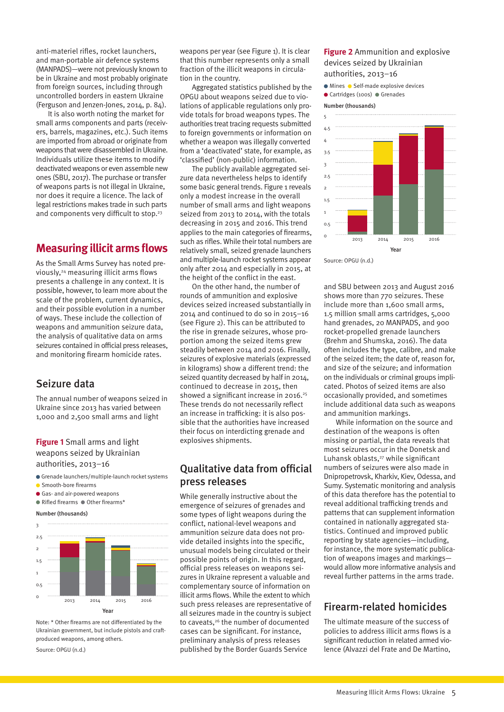anti-materiel rifles, rocket launchers, and man-portable air defence systems (MANPADS)—were not previously known to be in Ukraine and most probably originate from foreign sources, including through uncontrolled borders in eastern Ukraine (Ferguson and Jenzen-Jones, 2014, p. 84).

It is also worth noting the market for small arms components and parts (receivers, barrels, magazines, etc.). Such items are imported from abroad or originate from weapons that were disassembled in Ukraine. Individuals utilize these items to modify deactivated weapons or even assemble new ones (SBU, 2017). The purchase or transfer of weapons parts is not illegal in Ukraine, nor does it require a licence. The lack of legal restrictions makes trade in such parts and components very difficult to stop.<sup>23</sup>

#### **Measuring illicit arms flows**

As the Small Arms Survey has noted previously,<sup>24</sup> measuring illicit arms flows presents a challenge in any context. It is possible, however, to learn more about the scale of the problem, current dynamics, and their possible evolution in a number of ways. These include the collection of weapons and ammunition seizure data, the analysis of qualitative data on arms seizures contained in official press releases, and monitoring firearm homicide rates.

#### Seizure data

The annual number of weapons seized in Ukraine since 2013 has varied between 1,000 and 2,500 small arms and light

**Figure 1** Small arms and light weapons seized by Ukrainian authorities, 2013–16

- Grenade launchers/multiple-launch rocket systems
- **Smooth-bore firearms**
- Gas- and air-powered weapons
- $\bullet$  Rifled firearms  $\bullet$  Other firearms\*

#### Number (thousands)



Note: \* Other firearms are not differentiated by the Ukrainian government, but include pistols and craftproduced weapons, among others.

```
Source: OPGU (n.d.)
```
weapons per year (see Figure 1). It is clear that this number represents only a small fraction of the illicit weapons in circulation in the country.

Aggregated statistics published by the OPGU about weapons seized due to violations of applicable regulations only provide totals for broad weapons types. The authorities treat tracing requests submitted to foreign governments or information on whether a weapon was illegally converted from a 'deactivated' state, for example, as 'classified' (non-public) information.

The publicly available aggregated seizure data nevertheless helps to identify some basic general trends. Figure 1 reveals only a modest increase in the overall number of small arms and light weapons seized from 2013 to 2014, with the totals decreasing in 2015 and 2016. This trend applies to the main categories of firearms, such as rifles. While their total numbers are relatively small, seized grenade launchers and multiple-launch rocket systems appear only after 2014 and especially in 2015, at the height of the conflict in the east.

On the other hand, the number of rounds of ammunition and explosive devices seized increased substantially in 2014 and continued to do so in 2015–16 (see Figure 2). This can be attributed to the rise in grenade seizures, whose proportion among the seized items grew steadily between 2014 and 2016. Finally, seizures of explosive materials (expressed in kilograms) show a different trend: the seized quantity decreased by half in 2014, continued to decrease in 2015, then showed a significant increase in 2016.<sup>25</sup> These trends do not necessarily reflect an increase in trafficking: it is also possible that the authorities have increased their focus on interdicting grenade and explosives shipments.

#### Qualitative data from official press releases

While generally instructive about the emergence of seizures of grenades and some types of light weapons during the conflict, national-level weapons and ammunition seizure data does not provide detailed insights into the specific, unusual models being circulated or their possible points of origin. In this regard, official press releases on weapons seizures in Ukraine represent a valuable and complementary source of information on illicit arms flows. While the extent to which such press releases are representative of all seizures made in the country is subject to caveats,<sup>26</sup> the number of documented cases can be significant. For instance, preliminary analysis of press releases published by the Border Guards Service

#### **Figure 2** Ammunition and explosive devices seized by Ukrainian authorities, 2013–16

- $\bullet$  Mines  $\bullet$  Self-made explosive devices
- Cartridges (100s) Grenades

Number (thousands)



Source: OPGU (n.d.)

and SBU between 2013 and August 2016 shows more than 770 seizures. These include more than 1,600 small arms, 1.5 million small arms cartridges, 5,000 hand grenades, 20 MANPADS, and 900 rocket-propelled grenade launchers (Brehm and Shumska, 2016). The data often includes the type, calibre, and make of the seized item; the date of, reason for, and size of the seizure; and information on the individuals or criminal groups implicated. Photos of seized items are also occasionally provided, and sometimes include additional data such as weapons and ammunition markings.

While information on the source and destination of the weapons is often missing or partial, the data reveals that most seizures occur in the Donetsk and Luhansk oblasts.<sup>27</sup> while significant numbers of seizures were also made in Dnipropetrovsk, Kharkiv, Kiev, Odessa, and Sumy. Systematic monitoring and analysis of this data therefore has the potential to reveal additional trafficking trends and patterns that can supplement information contained in nationally aggregated statistics. Continued and improved public reporting by state agencies—including, for instance, the more systematic publication of weapons images and markings would allow more informative analysis and reveal further patterns in the arms trade.

#### Firearm-related homicides

The ultimate measure of the success of policies to address illicit arms flows is a significant reduction in related armed violence (Alvazzi del Frate and De Martino,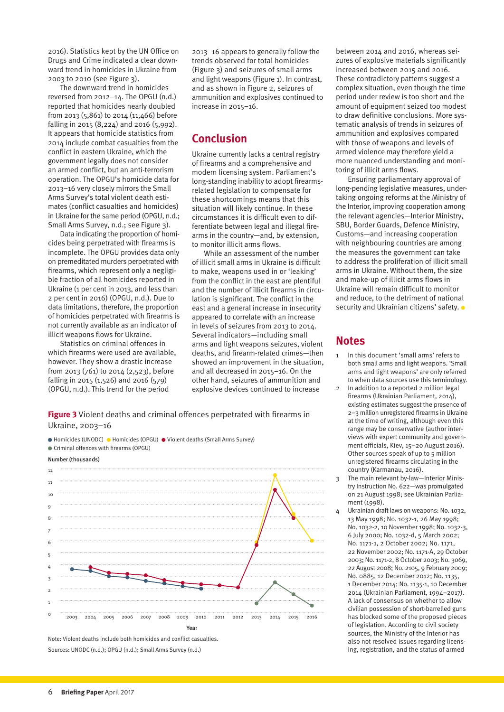2016). Statistics kept by the UN Office on Drugs and Crime indicated a clear downward trend in homicides in Ukraine from 2003 to 2010 (see Figure 3).

The downward trend in homicides reversed from 2012–14. The OPGU (n.d.) reported that homicides nearly doubled from 2013 (5,861) to 2014 (11,466) before falling in 2015 (8,224) and 2016 (5,992). It appears that homicide statistics from 2014 include combat casualties from the conflict in eastern Ukraine, which the government legally does not consider an armed conflict, but an anti-terrorism operation. The OPGU's homicide data for 2013–16 very closely mirrors the Small Arms Survey's total violent death estimates (conflict casualties and homicides) in Ukraine for the same period (OPGU, n.d.; Small Arms Survey, n.d.; see Figure 3).

Data indicating the proportion of homicides being perpetrated with firearms is incomplete. The OPGU provides data only on premeditated murders perpetrated with firearms, which represent only a negligible fraction of all homicides reported in Ukraine (1 per cent in 2013, and less than 2 per cent in 2016) (OPGU, n.d.). Due to data limitations, therefore, the proportion of homicides perpetrated with firearms is not currently available as an indicator of illicit weapons flows for Ukraine.

Statistics on criminal offences in which firearms were used are available, however. They show a drastic increase from 2013 (761) to 2014 (2,523), before falling in 2015 (1,526) and 2016 (579) (OPGU, n.d.). This trend for the period

2013–16 appears to generally follow the trends observed for total homicides (Figure 3) and seizures of small arms and light weapons (Figure 1). In contrast, and as shown in Figure 2, seizures of ammunition and explosives continued to increase in 2015–16.

# **Conclusion**

Ukraine currently lacks a central registry of firearms and a comprehensive and modern licensing system. Parliament's long-standing inability to adopt firearmsrelated legislation to compensate for these shortcomings means that this situation will likely continue. In these circumstances it is difficult even to differentiate between legal and illegal firearms in the country—and, by extension, to monitor illicit arms flows.

While an assessment of the number of illicit small arms in Ukraine is difficult to make, weapons used in or 'leaking' from the conflict in the east are plentiful and the number of illicit firearms in circulation is significant. The conflict in the east and a general increase in insecurity appeared to correlate with an increase in levels of seizures from 2013 to 2014. Several indicators—including small arms and light weapons seizures, violent deaths, and firearm-related crimes—then showed an improvement in the situation, and all decreased in 2015–16. On the other hand, seizures of ammunition and explosive devices continued to increase

**Figure 3** Violent deaths and criminal offences perpetrated with firearms in Ukraine, 2003–16

● Homicides (UNODC) ● Homicides (OPGU) ● Violent deaths (Small Arms Survey)



Note: Violent deaths include both homicides and conflict casualties. Sources: UNODC (n.d.); OPGU (n.d.); Small Arms Survey (n.d.)

between 2014 and 2016, whereas seizures of explosive materials significantly increased between 2015 and 2016. These contradictory patterns suggest a complex situation, even though the time period under review is too short and the amount of equipment seized too modest to draw definitive conclusions. More systematic analysis of trends in seizures of ammunition and explosives compared with those of weapons and levels of armed violence may therefore yield a more nuanced understanding and monitoring of illicit arms flows.

Ensuring parliamentary approval of long-pending legislative measures, undertaking ongoing reforms at the Ministry of the Interior, improving cooperation among the relevant agencies—Interior Ministry, SBU, Border Guards, Defence Ministry, Customs—and increasing cooperation with neighbouring countries are among the measures the government can take to address the proliferation of illicit small arms in Ukraine. Without them, the size and make-up of illicit arms flows in Ukraine will remain difficult to monitor and reduce, to the detriment of national security and Ukrainian citizens' safety.  $\bullet$ 

#### **Notes**

- 1 In this document 'small arms' refers to both small arms and light weapons. 'Small arms and light weapons' are only referred to when data sources use this terminology.
- 2 In addition to a reported 2 million legal firearms (Ukrainian Parliament, 2014), existing estimates suggest the presence of 2–3 million unregistered firearms in Ukraine at the time of writing, although even this range may be conservative (author interviews with expert community and government officials, Kiev, 15–20 August 2016). Other sources speak of up to 5 million unregistered firearms circulating in the country (Karmanau, 2016).
- 3 The main relevant by-law—Interior Ministry Instruction No. 622—was promulgated on 21 August 1998; see Ukrainian Parliament (1998).
- 4 Ukrainian draft laws on weapons: No. 1032, 13 May 1998; No. 1032-1, 26 May 1998; No. 1032-2, 10 November 1998; No. 1032-3, 6 July 2000; No. 1032-d, 5 March 2002; No. 1171-1, 2 October 2002; No. 1171, 22 November 2002; No. 1171-A, 29 October 2003; No. 1171-2, 8 October 2003; No. 3069, 22 August 2008; No. 2105, 9 February 2009; No. 0885, 12 December 2012; No. 1135, 1 December 2014; No. 1135-1, 10 December 2014 (Ukrainian Parliament, 1994–2017). A lack of consensus on whether to allow civilian possession of short-barrelled guns has blocked some of the proposed pieces of legislation. According to civil society sources, the Ministry of the Interior has also not resolved issues regarding licensing, registration, and the status of armed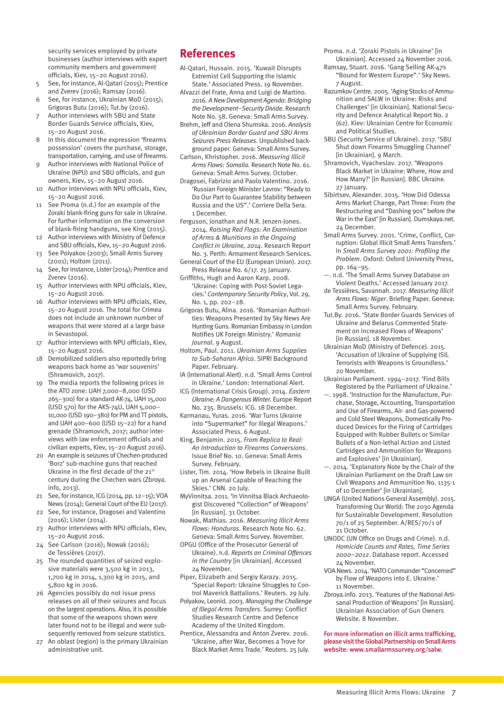security services employed by private businesses (author interviews with expert community members and government officials, Kiev, 15–20 August 2016).

- 5 See, for instance, Al-Qatari (2015); Prentice and Zverev (2016); Ramsay (2016).
- 6 See, for instance, Ukrainian MoD (2015); Grigoras Butu (2016); Tut.by (2016).
- Author interviews with SBU and State Border Guards Service officials, Kiev, 15–20 August 2016.
- 8 In this document the expression 'firearms possession' covers the purchase, storage, transportation, carrying, and use of firearms.
- 9 Author interviews with National Police of Ukraine (NPU) and SBU officials, and gun owners, Kiev, 15–20 August 2016.
- 10 Author interviews with NPU officials, Kiev, 15–20 August 2016.
- 11 See Proma (n.d.) for an example of the Zoraki blank-firing guns for sale in Ukraine. For further information on the conversion of blank-firing handguns, see King (2015).
- 12 Author interviews with Ministry of Defence and SBU officials, Kiev, 15–20 August 2016.
- See Polyakov (2003); Small Arms Survey (2001); Holtom (2011).
- See, for instance, Lister (2014); Prentice and Zverev (2016).
- 15 Author interviews with NPU officials, Kiev, 15–20 August 2016.
- 16 Author interviews with NPU officials, Kiev, 15–20 August 2016. The total for Crimea does not include an unknown number of weapons that were stored at a large base in Sevastopol.
- 17 Author interviews with NPU officials, Kiev, 15–20 August 2016.
- 18 Demobilized soldiers also reportedly bring weapons back home as 'war souvenirs' (Shramovich, 2017).
- 19 The media reports the following prices in the ATO zone: UAH 7,000–8,000 (USD 265–300) for a standard AK-74, UAH 15,000 (USD 570) for the AKS-74U, UAH 5,000– 10,000 (USD 190–380) for PM and TT pistols, and UAH 400–600 (USD 15–22) for a hand grenade (Shramovich, 2017; author interviews with law enforcement officials and civilian experts, Kiev, 15–20 August 2016).
- 20 An example is seizures of Chechen-produced 'Borz' sub-machine guns that reached Ukraine in the first decade of the 21st century during the Chechen wars (Zbroya. info, 2013).
- 21 See, for instance, ICG (2014, pp. 12–15); VOA News (2014); General Court of the EU (2017).
- 22 See, for instance, Dragosei and Valentino (2016); Lister (2014).
- 23 Author interviews with NPU officials, Kiev, 15–20 August 2016.
- 24 See Carlson (2016); Nowak (2016); de Tessières (2017).
- 25 The rounded quantities of seized explosive materials were 3,500 kg in 2013, 1,700 kg in 2014, 1,300 kg in 2015, and 5,800 kg in 2016.
- 26 Agencies possibly do not issue press releases on all of their seizures and focus on the largest operations. Also, it is possible that some of the weapons shown were later found not to be illegal and were subsequently removed from seizure statistics.
- 27 An oblast (region) is the primary Ukrainian administrative unit.

### **References**

- Al-Qatari, Hussain. 2015. ['Kuwait Disrupts](http://bigstory.ap.org/article/4c3001b20d58445a86bec5d33897cc59/kuwait-arrests-extremists-cell-funded-islamic-state)  [Extremist Cell Supporting the Islamic](http://bigstory.ap.org/article/4c3001b20d58445a86bec5d33897cc59/kuwait-arrests-extremists-cell-funded-islamic-state)  [State.' A](http://bigstory.ap.org/article/4c3001b20d58445a86bec5d33897cc59/kuwait-arrests-extremists-cell-funded-islamic-state)ssociated Press. 19 November.
- Alvazzi del Frate, Anna and Luigi de Martino. 2016. *[A New Development Agenda: Bridging](http://www.smallarmssurvey.org/fileadmin/docs/H-Research_Notes/SAS-Research-Note-58.pdf)  [the Development–Security Divide](http://www.smallarmssurvey.org/fileadmin/docs/H-Research_Notes/SAS-Research-Note-58.pdf)*. Research Note No. 58. Geneva: Small Arms Survey.
- Brehm, Jeff and Olena Shumska. 2016. *Analysis of Ukrainian Border Guard and SBU Arms Seizures Press Releases*. Unpublished background paper. Geneva: Small Arms Survey.
- Carlson, Khristopher. 2016. *[Measuring Illicit](http://www.smallarmssurvey.org/fileadmin/docs/H-Research_Notes/SAS-Research-Note-61.pdf)  [Arms Flows: Somalia.](http://www.smallarmssurvey.org/fileadmin/docs/H-Research_Notes/SAS-Research-Note-61.pdf)* Research Note No. 61. Geneva: Small Arms Survey. October.
- Dragosei, Fabrizio and Paolo Valentino. 2016. ['Russian Foreign Minister Lavrov: "Ready to](http://www.corriere.it/esteri/16_dicembre_01/russian-foreign-minister-lavrov-ready-to-do-our-part-to-guarantee-stability-between-russia-and-the-us-english-version-interview-corriere-della-sera-06b35ec8-b79d-11e6-a82f-f4dafb547583.shtml)  [Do Our Part to Guarantee Stability between](http://www.corriere.it/esteri/16_dicembre_01/russian-foreign-minister-lavrov-ready-to-do-our-part-to-guarantee-stability-between-russia-and-the-us-english-version-interview-corriere-della-sera-06b35ec8-b79d-11e6-a82f-f4dafb547583.shtml)  [Russia and the US".' C](http://www.corriere.it/esteri/16_dicembre_01/russian-foreign-minister-lavrov-ready-to-do-our-part-to-guarantee-stability-between-russia-and-the-us-english-version-interview-corriere-della-sera-06b35ec8-b79d-11e6-a82f-f4dafb547583.shtml)orriere Della Sera. 1 December.
- Ferguson, Jonathan and N.R. Jenzen-Jones. 2014. *[Raising Red Flags: An Examination](http://armamentresearch.com/Uploads/Research%20Report%20No.%203%20-%20Raising%20Red%20Flags.pdf)  [of Arms & Munitions in the Ongoing](http://armamentresearch.com/Uploads/Research%20Report%20No.%203%20-%20Raising%20Red%20Flags.pdf)  [Conflict in Ukraine, 2014](http://armamentresearch.com/Uploads/Research%20Report%20No.%203%20-%20Raising%20Red%20Flags.pdf)*. Research Report No. 3. Perth: Armament Research Services.
- General Court of the EU (European Union). 2017. [Press Release No. 6/17. 2](http://curia.europa.eu/jcms/jcms/p1_275609)5 January.
- Griffiths, Hugh and Aaron Karp. 2008. ['Ukraine: Coping with Post-Soviet Lega](http://www.tandfonline.com/doi/abs/10.1080/13523260802239773?journalCode=fcsp20)[cies.'](http://www.tandfonline.com/doi/abs/10.1080/13523260802239773?journalCode=fcsp20) *Contemporary Security Policy*, Vol. 29, No. 1, pp. 202–28.
- Grigoras Butu, Alina. 2016. ['Romanian Authori](http://www.romaniajournal.ro/romanian-authorities-weapons-presented-by-sky-news-are-hunting-guns-romanian-embassy-in-london-notifies-uk-foreign-ministry/)[ties: Weapons Presented by Sky News Are](http://www.romaniajournal.ro/romanian-authorities-weapons-presented-by-sky-news-are-hunting-guns-romanian-embassy-in-london-notifies-uk-foreign-ministry/)  [Hunting Guns. Romanian Embassy in London](http://www.romaniajournal.ro/romanian-authorities-weapons-presented-by-sky-news-are-hunting-guns-romanian-embassy-in-london-notifies-uk-foreign-ministry/)  [Notifies UK Foreign Ministry.'](http://www.romaniajournal.ro/romanian-authorities-weapons-presented-by-sky-news-are-hunting-guns-romanian-embassy-in-london-notifies-uk-foreign-ministry/) *Romania Journal*. 9 August.
- Holtom, Paul. 2011. *[Ukrainian Arms Supplies](https://www.sipri.org/publications/2011/sipri-background-papers/ukrainian-arms-supplies-sub-saharan-africa)  [to Sub-Saharan Africa](https://www.sipri.org/publications/2011/sipri-background-papers/ukrainian-arms-supplies-sub-saharan-africa)*. SIPRI Background Paper. February.
- IA (International Alert). n.d. 'Small Arms Control in Ilkraine.' London: International Alert.
- ICG (International Crisis Group). 2014. *[Eastern](https://www.crisisgroup.org/europe-central-asia/eastern-europe/ukraine/eastern-ukraine-dangerous-winter)  [Ukraine: A Dangerous Winter.](https://www.crisisgroup.org/europe-central-asia/eastern-europe/ukraine/eastern-ukraine-dangerous-winter)* Europe Report No. 235. Brussels: ICG. 18 December.
- Karmanau, Yuras. 2016. ['War Turns Ukraine](http://bigstory.ap.org/article/16ffe979bc2947ce9373079264232406/war-turns-ukraine-supermarket-illegal-weapons)  [into "Supermarket" for Illegal Weapons.'](http://bigstory.ap.org/article/16ffe979bc2947ce9373079264232406/war-turns-ukraine-supermarket-illegal-weapons)  Associated Press. 6 August.
- King, Benjamin. 2015. *[From Replica to Real:](http://www.smallarmssurvey.org/fileadmin/docs/G-Issue-briefs/SAS-IB10-From-Replica-to-Real.pdf)  [An Introduction to Firearms Conversions](http://www.smallarmssurvey.org/fileadmin/docs/G-Issue-briefs/SAS-IB10-From-Replica-to-Real.pdf)*. Issue Brief No. 10. Geneva: Small Arms Survey. February.
- Lister, Tim. 2014. ['How Rebels in Ukraine Built](http://edition.cnn.com/2014/07/20/world/europe/ukraine-rebels-weapons/)  [up an Arsenal Capable of Reaching the](http://edition.cnn.com/2014/07/20/world/europe/ukraine-rebels-weapons/)  [Skies.'](http://edition.cnn.com/2014/07/20/world/europe/ukraine-rebels-weapons/) CNN. 20 July.
- MyVinnitsa. 2011. ['In Vinnitsa Black Archaeolo](http://pda.myvin.com.ua/ru/news/events/11062.html)[gist Discovered "Collection" of Weapons'](http://pda.myvin.com.ua/ru/news/events/11062.html)  [in Russian]. 31 October.
- Nowak, Mathias. 2016. *[Measuring Illicit Arms](http://www.smallarmssurvey.org/fileadmin/docs/H-Research_Notes/SAS-Research-Note-62.pdf)  [Flows: Honduras.](http://www.smallarmssurvey.org/fileadmin/docs/H-Research_Notes/SAS-Research-Note-62.pdf)* Research Note No. 62. Geneva: Small Arms Survey. November.
- OPGU (Office of the Prosecutor General of Ukraine). n.d. *[Reports on Criminal Offences](http://www.gp.gov.ua/ua/stat.html)  [in the Country](http://www.gp.gov.ua/ua/stat.html)* [in Ukrainian]. Accessed 24 November.
- Piper, Elizabeth and Sergiy Karazy. 2015. ['Special Report: Ukraine Struggles to Con](http://www.reuters.com/article/us-ukraine-crisis-battalions-special-rep-idUSKCN0Q30YT20150729)[trol Maverick Battalions.'](http://www.reuters.com/article/us-ukraine-crisis-battalions-special-rep-idUSKCN0Q30YT20150729) Reuters. 29 July.
- Polyakov, Leonid. 2003. *[Managing the Challenge](https://www.files.ethz.ch/isn/97393/03_Jun_2.pdf)  [of Illegal Arms Transfers](https://www.files.ethz.ch/isn/97393/03_Jun_2.pdf)*. Surrey: Conflict Studies Research Centre and Defence Academy of the United Kingdom.
- Prentice, Alessandra and Anton Zverev. 2016. ['Ukraine, after War, Becomes a Trove for](http://www.reuters.com/article/us-ukraine-crisis-arms-insight-idUSKCN1050ZE)  [Black Market Arms Trade.'](http://www.reuters.com/article/us-ukraine-crisis-arms-insight-idUSKCN1050ZE) Reuters. 25 July.

Proma. n.d. ['Zoraki Pistols in Ukraine' \[](http://prom.ua/Pistolet-zoraki.html?no_redirect=1)in Ukrainian]. Accessed 24 November 2016.

- Ramsay, Stuart. 2016. ['Gang Selling AK-47s](http://news.sky.com/story/gang-selling-ak-47s-bound-for-western-europe-10526393)  ["Bound for Western Europe".'](http://news.sky.com/story/gang-selling-ak-47s-bound-for-western-europe-10526393) Sky News. 7 August.
- Razumkov Centre. 2005. ['Aging Stocks of Ammu](http://old.razumkov.org.ua/ukr/journal.php?y=2005&cat=39)[nition and SALW in Ukraine: Risks and](http://old.razumkov.org.ua/ukr/journal.php?y=2005&cat=39)  [Challenges'](http://old.razumkov.org.ua/ukr/journal.php?y=2005&cat=39) [in Ukrainian]. National Security and Defence Analytical Report No. 2 (62). Kiev: Ukrainian Centre for Economic and Political Studies.
- SBU (Security Service of Ukraine). 2017. ['SBU](https://www.ssu.gov.ua/ua/news/1/category/2/view/2890#sthash.Bhp02s9x.x6po0FJI.dpuf)  [Shut down Firearms Smuggling Channel'](https://www.ssu.gov.ua/ua/news/1/category/2/view/2890#sthash.Bhp02s9x.x6po0FJI.dpuf)  [in Ukrainian]. 9 March.
- Shramovich, Vyacheslav. 2017. ['Weapons](http://www.bbc.com/ukrainian/features-russian-38768847)  [Black Market in Ukraine: Where, How and](http://www.bbc.com/ukrainian/features-russian-38768847)  [How Many?'](http://www.bbc.com/ukrainian/features-russian-38768847) [in Russian]. BBC Ukraine. 27 January.
- Sibirtsev, Alexander. 2015. ['How Did Odessa](http://dumskaya.net/news/kak-menyalsya-rynok-orugiya-odessy-chast-tretya--053823/)  [Arms Market Change,](http://dumskaya.net/news/kak-menyalsya-rynok-orugiya-odessy-chast-tretya--053823/) Part Three: From the [Restructuring and "Dashing 90s" before the](http://dumskaya.net/news/kak-menyalsya-rynok-orugiya-odessy-chast-tretya--053823/)  [War in the East'](http://dumskaya.net/news/kak-menyalsya-rynok-orugiya-odessy-chast-tretya--053823/) [in Russian]. Dumskaya.net. 24 December.
- Small Arms Survey. 2001. ['Crime, Conflict, Cor](http://www.smallarmssurvey.org/fileadmin/docs/A-Yearbook/2001/en/Small-Arms-Survey-2001-Chapter-05-EN.pdf)[ruption: Global Illicit Small Arms Transfers.'](http://www.smallarmssurvey.org/fileadmin/docs/A-Yearbook/2001/en/Small-Arms-Survey-2001-Chapter-05-EN.pdf)  In *Small Arms Survey 2001: Profiling the Problem*. Oxford: Oxford University Press, pp. 164–95.
- —. n.d. ['The Small Arms Survey Database on](http://www.smallarmssurvey.org/fileadmin/docs/M-files/Armed_violence/Small-Arms-Survey-DB-violent-deaths.xlsx)  [Violent Deaths.'](http://www.smallarmssurvey.org/fileadmin/docs/M-files/Armed_violence/Small-Arms-Survey-DB-violent-deaths.xlsx) Accessed January 2017.
- de Tessières, Savannah. 2017. *[Measuring Illicit](http://www.smallarmssurvey.org/fileadmin/docs/T-Briefing-Papers/SAS-BP1-Niger.pdf)  [Arms Flows: Niger](http://www.smallarmssurvey.org/fileadmin/docs/T-Briefing-Papers/SAS-BP1-Niger.pdf)*. Briefing Paper. Geneva: Small Arms Survey. February.
- Tut.By. 2016. ['State Border Guards Services of](https://news.tut.by/society/520416.html)  [Ukraine and Belarus Commented State](https://news.tut.by/society/520416.html)[ment on Increased Flows of Weapons'](https://news.tut.by/society/520416.html)  [in Russian]. 18 November.
- Ukrainian MoD (Ministry of Defence). 2015. ['Accusation of Ukraine of Supplying ISIL](http://www.mil.gov.ua/en/news/2015/11/20/accusation-of-ukraine-of-supplying-isil-terrorists-with-weapons-is-groundless/?attempt=1)  [Terrorists with Weapons Is Groundless.'](http://www.mil.gov.ua/en/news/2015/11/20/accusation-of-ukraine-of-supplying-isil-terrorists-with-weapons-is-groundless/?attempt=1)  20 November.
- Ukrainian Parliament. 1994–2017. ['Find Bills](http://w1.c1.rada.gov.ua/pls/zweb2/webproc2)  [Registered by the Parliament of Ukraine.'](http://w1.c1.rada.gov.ua/pls/zweb2/webproc2)
- —. 1998. ['Instruction for the Manufacture, Pur](http://zakon3.rada.gov.ua/laws/show/z0637-98)[chase, Storage, Accounting, Transportation](http://zakon3.rada.gov.ua/laws/show/z0637-98)  [and Use of Firearms, Air- and Gas-powered](http://zakon3.rada.gov.ua/laws/show/z0637-98)  [and Cold Steel Weapons, Domestically Pro](http://zakon3.rada.gov.ua/laws/show/z0637-98)[duced Devices for the Firing of Cartridges](http://zakon3.rada.gov.ua/laws/show/z0637-98)  [Equipped with Rubber Bullets or Similar](http://zakon3.rada.gov.ua/laws/show/z0637-98)  [Bullets of a Non-lethal Action and Listed](http://zakon3.rada.gov.ua/laws/show/z0637-98)  [Cartridges and Ammunition for Weapons](http://zakon3.rada.gov.ua/laws/show/z0637-98)  [and Explosives'](http://zakon3.rada.gov.ua/laws/show/z0637-98) [in Ukrainian].
- —. 2014. ['Explanatory Note by the Chair of the](http://w1.c1.rada.gov.ua/pls/zweb2/webproc4_1?pf3511=52809)  [Ukrainian Parliament on the Draft Law on](http://w1.c1.rada.gov.ua/pls/zweb2/webproc4_1?pf3511=52809)  [Civil Weapons and Ammunition No. 1135-1](http://w1.c1.rada.gov.ua/pls/zweb2/webproc4_1?pf3511=52809)  [of 10 December' \[in Ukrainian\].](http://w1.c1.rada.gov.ua/pls/zweb2/webproc4_1?pf3511=52809)
- UNGA (United Nations General Assembly). 2015. [Transforming Our World: The 2030 Agenda](http://www.un.org/ga/search/view_doc.asp?symbol=A/RES/70/1&Lang=E)  [for Sustainable Development. R](http://www.un.org/ga/search/view_doc.asp?symbol=A/RES/70/1&Lang=E)esolution 70/1 of 25 September. A/RES/70/1 of 21 October.
- UNODC (UN Office on Drugs and Crime). n.d. *[Homicide Counts and Rates, Time Series](http://www.unodc.org/gsh/en/data.html)  [2000–2012](http://www.unodc.org/gsh/en/data.html)*. Database report. Accessed 24 November.
- VOA News. 2014. ['NATO Commander "Concerned"](http://www.voanews.com/content/british-pm-warns-russia-on-actions-in-ukraine/2515645.html)  [by Flow of Weapons into E. Ukraine.'](http://www.voanews.com/content/british-pm-warns-russia-on-actions-in-ukraine/2515645.html)  11 November.
- Zbroya.info. 2013. ['Features of the National Arti](http://zbroya.info/ru/blog/1507_osobennosti-natsionalnogo-kustarnogo-proizvodstva-oruzhiia/)[sanal Production of Weapons' \[](http://zbroya.info/ru/blog/1507_osobennosti-natsionalnogo-kustarnogo-proizvodstva-oruzhiia/)in Russian]. Ukrainian Association of Gun Owners Website. 8 November.

For more information on illicit arms trafficking, please visit the Global Partnership on Small Arms website: [www.smallarmssurvey.org/salw.](www.smallarmssurvey.org/salw)